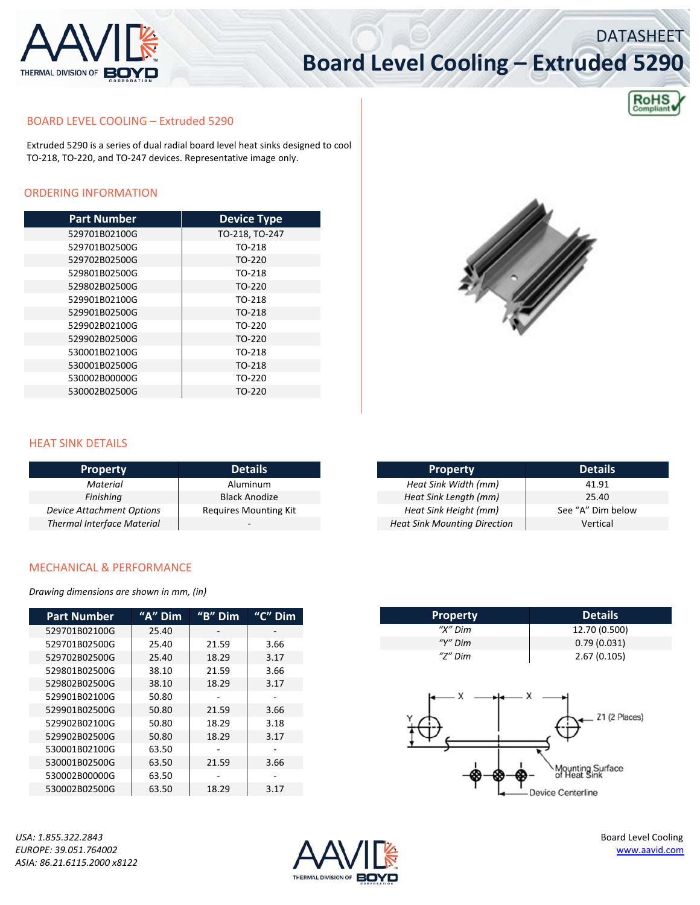

# **Board Level Cooling – Extruded 5290**



**DATASHEET** 

#### BOARD LEVEL COOLING – Extruded 5290

Extruded 5290 is a series of dual radial board level heat sinks designed to cool TO‐218, TO‐220, and TO‐247 devices. Representative image only.

### ORDERING INFORMATION

| <b>Part Number</b> | <b>Device Type</b> |  |  |
|--------------------|--------------------|--|--|
| 529701B02100G      | TO-218, TO-247     |  |  |
| 529701B02500G      | TO-218             |  |  |
| 529702B02500G      | TO-220             |  |  |
| 529801B02500G      | TO-218             |  |  |
| 529802B02500G      | TO-220             |  |  |
| 529901B02100G      | TO-218             |  |  |
| 529901B02500G      | TO-218             |  |  |
| 529902B02100G      | TO-220             |  |  |
| 529902B02500G      | TO-220             |  |  |
| 530001B02100G      | TO-218             |  |  |
| 530001B02500G      | TO-218             |  |  |
| 530002B00000G      | TO-220             |  |  |
| 530002B02500G      | TO-220             |  |  |



#### HEAT SINK DETAILS

| <b>Property</b>                   | <b>Details</b>               |  |  |
|-----------------------------------|------------------------------|--|--|
| <b>Material</b>                   | Aluminum                     |  |  |
| Finishing                         | <b>Black Anodize</b>         |  |  |
| <b>Device Attachment Options</b>  | <b>Requires Mounting Kit</b> |  |  |
| <b>Thermal Interface Material</b> |                              |  |  |

| <b>Property</b>                     | <b>Details</b>    |  |  |
|-------------------------------------|-------------------|--|--|
| Heat Sink Width (mm)                | 41.91             |  |  |
| Heat Sink Length (mm)               | 25.40             |  |  |
| Heat Sink Height (mm)               | See "A" Dim below |  |  |
| <b>Heat Sink Mounting Direction</b> | Vertical          |  |  |

#### MECHANICAL & PERFORMANCE

*Drawing dimensions are shown in mm, (in)*

| " $A$ " $\overline{Dim}$ | "B" Dim | $"C"$ Dim |
|--------------------------|---------|-----------|
| 25.40                    |         |           |
| 25.40                    | 21.59   | 3.66      |
| 25.40                    | 18.29   | 3.17      |
| 38.10                    | 21.59   | 3.66      |
| 38.10                    | 18.29   | 3.17      |
| 50.80                    |         |           |
| 50.80                    | 21.59   | 3.66      |
| 50.80                    | 18.29   | 3.18      |
| 50.80                    | 18.29   | 3.17      |
| 63.50                    |         |           |
| 63.50                    | 21.59   | 3.66      |
| 63.50                    |         |           |
| 63.50                    | 18.29   | 3.17      |
|                          |         |           |

**Property Details** *"X"* Dim 12.70 (0.500)<br>*"Y"* Dim 0.79 (0.031) 0.79 (0.031) *"Z" Dim* 2.67 (0.105)Z1 (2 Places) vunting Surface<br>Heat Sink Device Centerline

*USA: 1.855.322.2843* Board Level Cooling *ASIA: 86.21.6115.2000 x8122*

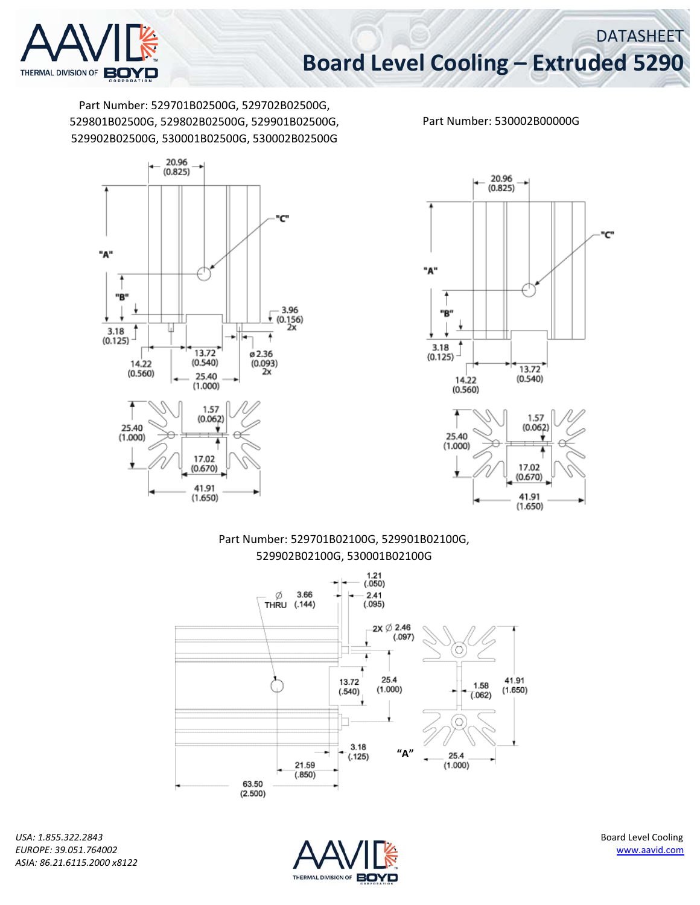

DATASHEET

Part Number: 529701B02500G, 529702B02500G, 529801B02500G, 529802B02500G, 529901B02500G, 529902B02500G, 530001B02500G, 530002B02500G



Part Number: 530002B00000G



41.91  $(1.650)$ 

Part Number: 529701B02100G, 529901B02100G, 529902B02100G, 530001B02100G